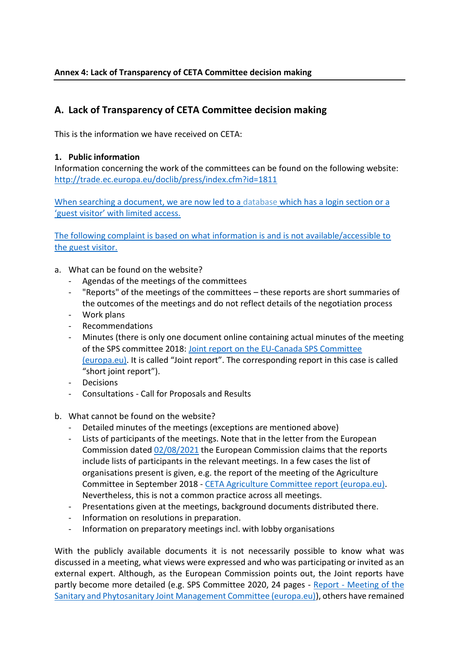## **Annex 4: Lack of Transparency of CETA Committee decision making**

# **A. Lack of Transparency of CETA Committee decision making**

This is the information we have received on CETA:

### **1. Public information**

Information concerning the work of the committees can be found on the following website: <http://trade.ec.europa.eu/doclib/press/index.cfm?id=1811>

When searching a document, we are now led to a [database](https://circabc.europa.eu/ui/group/09242a36-a438-40fd-a7af-fe32e36cbd0e/library/205dba99-7521-44fc-82bb-789155c58138) which has a login section or a 'guest visitor' with limited access.

The following complaint is based on what information is and is not available/accessible to the guest visitor.

- a. What can be found on the website?
	- Agendas of the meetings of the committees
	- "Reports" of the meetings of the committees these reports are short summaries of the outcomes of the meetings and do not reflect details of the negotiation process
	- Work plans
	- Recommendations
	- Minutes (there is only one document online containing actual minutes of the meeting of the SPS committee 2018: [Joint report on the EU-Canada SPS Committee](https://trade.ec.europa.eu/doclib/docs/2020/july/tradoc_158902.03.18%20report%20for%20publication.pdf)  [\(europa.eu\)](https://trade.ec.europa.eu/doclib/docs/2020/july/tradoc_158902.03.18%20report%20for%20publication.pdf). It is called "Joint report". The corresponding report in this case is called "short joint report").
	- Decisions
	- Consultations Call for Proposals and Results
- b. What cannot be found on the website?
	- Detailed minutes of the meetings (exceptions are mentioned above)
	- Lists of participants of the meetings. Note that in the letter from the European Commission dated [02/08/2021](https://www.foodwatch.org/fileadmin/-INT/food_politcs/Correspondance_DG_Trade/2021_08_02_response_DG_Trade_to_fw.pdf) the European Commission claims that the reports include lists of participants in the relevant meetings. In a few cases the list of organisations present is given, e.g. the report of the meeting of the Agriculture Committee in September 2018 - [CETA Agriculture Committee report \(europa.eu\).](https://trade.ec.europa.eu/doclib/docs/2018/october/tradoc_157472.pdf) Nevertheless, this is not a common practice across all meetings.
	- Presentations given at the meetings, background documents distributed there.
	- Information on resolutions in preparation.
	- Information on preparatory meetings incl. with lobby organisations

With the publicly available documents it is not necessarily possible to know what was discussed in a meeting, what views were expressed and who was participating or invited as an external expert. Although, as the European Commission points out, the Joint reports have partly become more detailed (e.g. SPS Committee 2020, 24 pages - Report - [Meeting of the](https://trade.ec.europa.eu/doclib/docs/2021/february/tradoc_159410.pdf)  [Sanitary and Phytosanitary Joint Management Committee \(europa.eu\)\)](https://trade.ec.europa.eu/doclib/docs/2021/february/tradoc_159410.pdf), others have remained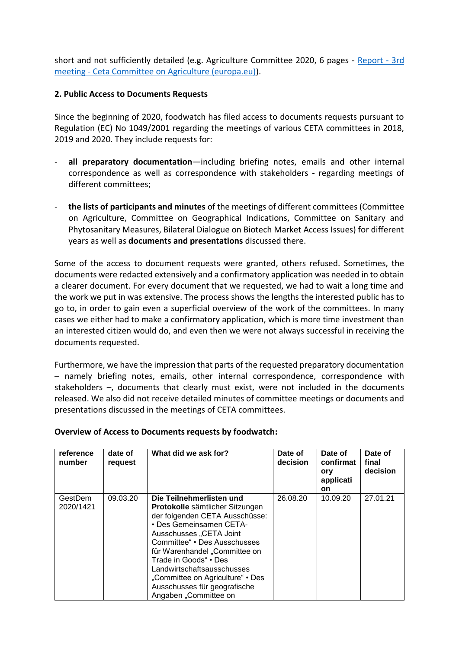short and not sufficiently detailed (e.g. Agriculture Committee 2020, 6 pages - [Report -](https://trade.ec.europa.eu/doclib/docs/2021/february/tradoc_159418.09.20%20for%20publication.pdf) 3rd meeting - [Ceta Committee on Agriculture \(europa.eu\)\)](https://trade.ec.europa.eu/doclib/docs/2021/february/tradoc_159418.09.20%20for%20publication.pdf).

#### **2. Public Access to Documents Requests**

Since the beginning of 2020, foodwatch has filed access to documents requests pursuant to Regulation (EC) No 1049/2001 regarding the meetings of various CETA committees in 2018, 2019 and 2020. They include requests for:

- all preparatory documentation-including briefing notes, emails and other internal correspondence as well as correspondence with stakeholders - regarding meetings of different committees;
- **the lists of participants and minutes** of the meetings of different committees (Committee on Agriculture, Committee on Geographical Indications, Committee on Sanitary and Phytosanitary Measures, Bilateral Dialogue on Biotech Market Access Issues) for different years as well as **documents and presentations** discussed there.

Some of the access to document requests were granted, others refused. Sometimes, the documents were redacted extensively and a confirmatory application was needed in to obtain a clearer document. For every document that we requested, we had to wait a long time and the work we put in was extensive. The process shows the lengths the interested public has to go to, in order to gain even a superficial overview of the work of the committees. In many cases we either had to make a confirmatory application, which is more time investment than an interested citizen would do, and even then we were not always successful in receiving the documents requested.

Furthermore, we have the impression that parts of the requested preparatory documentation – namely briefing notes, emails, other internal correspondence, correspondence with stakeholders –, documents that clearly must exist, were not included in the documents released. We also did not receive detailed minutes of committee meetings or documents and presentations discussed in the meetings of CETA committees.

#### **Overview of Access to Documents requests by foodwatch:**

| reference<br>number  | date of<br>request | What did we ask for?                                                                                                                                                                                                                                                                                                                                                     | Date of<br>decision | Date of<br>confirmat<br>ory<br>applicati<br><b>on</b> | Date of<br>final<br>decision |
|----------------------|--------------------|--------------------------------------------------------------------------------------------------------------------------------------------------------------------------------------------------------------------------------------------------------------------------------------------------------------------------------------------------------------------------|---------------------|-------------------------------------------------------|------------------------------|
| GestDem<br>2020/1421 | 09.03.20           | Die Teilnehmerlisten und<br>Protokolle sämtlicher Sitzungen<br>der folgenden CETA Ausschüsse:<br>• Des Gemeinsamen CETA-<br>Ausschusses "CETA Joint<br>Committee" • Des Ausschusses<br>für Warenhandel "Committee on<br>Trade in Goods" • Des<br>Landwirtschaftsausschusses<br>"Committee on Agriculture" • Des<br>Ausschusses für geografische<br>Angaben "Committee on | 26.08.20            | 10.09.20                                              | 27.01.21                     |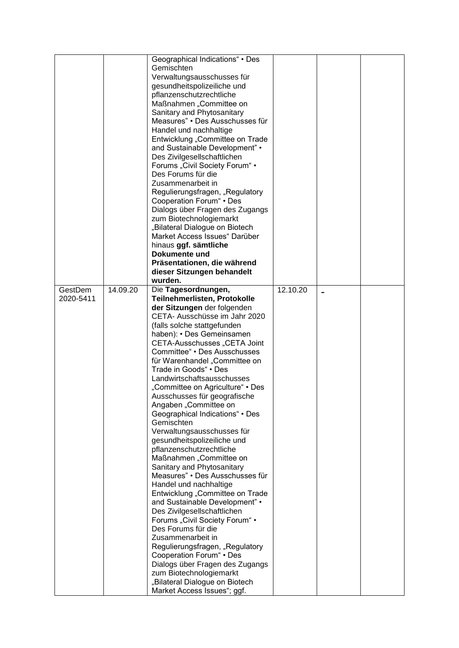|           |          | Geographical Indications" • Des                               |          |  |
|-----------|----------|---------------------------------------------------------------|----------|--|
|           |          | Gemischten                                                    |          |  |
|           |          | Verwaltungsausschusses für                                    |          |  |
|           |          | gesundheitspolizeiliche und                                   |          |  |
|           |          | pflanzenschutzrechtliche                                      |          |  |
|           |          | Maßnahmen "Committee on                                       |          |  |
|           |          | Sanitary and Phytosanitary                                    |          |  |
|           |          | Measures" • Des Ausschusses für                               |          |  |
|           |          | Handel und nachhaltige                                        |          |  |
|           |          |                                                               |          |  |
|           |          | Entwicklung "Committee on Trade                               |          |  |
|           |          | and Sustainable Development" •                                |          |  |
|           |          | Des Zivilgesellschaftlichen                                   |          |  |
|           |          | Forums "Civil Society Forum" •                                |          |  |
|           |          | Des Forums für die                                            |          |  |
|           |          | Zusammenarbeit in                                             |          |  |
|           |          | Regulierungsfragen, "Regulatory                               |          |  |
|           |          | Cooperation Forum" . Des                                      |          |  |
|           |          | Dialogs über Fragen des Zugangs                               |          |  |
|           |          | zum Biotechnologiemarkt                                       |          |  |
|           |          | "Bilateral Dialogue on Biotech                                |          |  |
|           |          | Market Access Issues" Darüber                                 |          |  |
|           |          | hinaus ggf. sämtliche                                         |          |  |
|           |          | Dokumente und                                                 |          |  |
|           |          | Präsentationen, die während                                   |          |  |
|           |          | dieser Sitzungen behandelt                                    |          |  |
|           |          | wurden.                                                       |          |  |
| GestDem   | 14.09.20 | Die Tagesordnungen,                                           | 12.10.20 |  |
| 2020-5411 |          | Teilnehmerlisten, Protokolle                                  |          |  |
|           |          | der Sitzungen der folgenden                                   |          |  |
|           |          | CETA- Ausschüsse im Jahr 2020                                 |          |  |
|           |          | (falls solche stattgefunden                                   |          |  |
|           |          | haben): • Des Gemeinsamen                                     |          |  |
|           |          | CETA-Ausschusses "CETA Joint                                  |          |  |
|           |          |                                                               |          |  |
|           |          | Committee" • Des Ausschusses                                  |          |  |
|           |          | für Warenhandel "Committee on                                 |          |  |
|           |          | Trade in Goods" • Des                                         |          |  |
|           |          | Landwirtschaftsausschusses                                    |          |  |
|           |          | "Committee on Agriculture" • Des                              |          |  |
|           |          | Ausschusses für geografische                                  |          |  |
|           |          | Angaben "Committee on                                         |          |  |
|           |          | Geographical Indications" • Des                               |          |  |
|           |          | Gemischten                                                    |          |  |
|           |          | Verwaltungsausschusses für                                    |          |  |
|           |          | gesundheitspolizeiliche und                                   |          |  |
|           |          | pflanzenschutzrechtliche                                      |          |  |
|           |          | Maßnahmen "Committee on                                       |          |  |
|           |          | Sanitary and Phytosanitary                                    |          |  |
|           |          | Measures" • Des Ausschusses für                               |          |  |
|           |          | Handel und nachhaltige                                        |          |  |
|           |          | Entwicklung "Committee on Trade                               |          |  |
|           |          | and Sustainable Development" •                                |          |  |
|           |          | Des Zivilgesellschaftlichen                                   |          |  |
|           |          | Forums "Civil Society Forum" •                                |          |  |
|           |          | Des Forums für die                                            |          |  |
|           |          | Zusammenarbeit in                                             |          |  |
|           |          | Regulierungsfragen, "Regulatory                               |          |  |
|           |          | Cooperation Forum" • Des                                      |          |  |
|           |          | Dialogs über Fragen des Zugangs                               |          |  |
|           |          | zum Biotechnologiemarkt                                       |          |  |
|           |          | "Bilateral Dialogue on Biotech<br>Market Access Issues"; ggf. |          |  |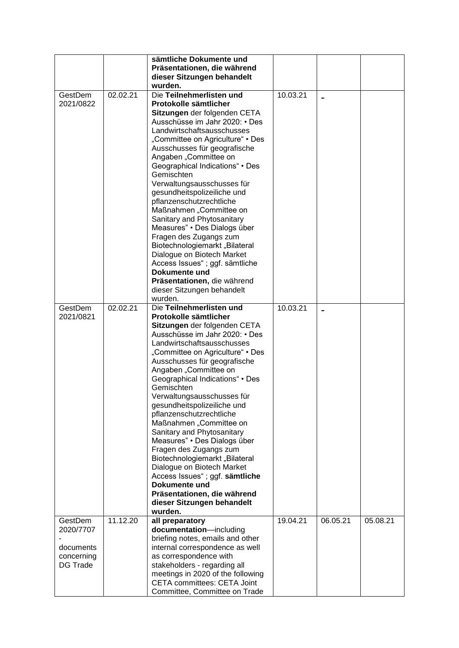|                                                                    |          | sämtliche Dokumente und<br>Präsentationen, die während<br>dieser Sitzungen behandelt<br>wurden.                                                                                                                                                                                                                                                                                                                                                                                                                                                                                                                                                                                                        |          |          |          |
|--------------------------------------------------------------------|----------|--------------------------------------------------------------------------------------------------------------------------------------------------------------------------------------------------------------------------------------------------------------------------------------------------------------------------------------------------------------------------------------------------------------------------------------------------------------------------------------------------------------------------------------------------------------------------------------------------------------------------------------------------------------------------------------------------------|----------|----------|----------|
| GestDem<br>2021/0822                                               | 02.02.21 | Die Teilnehmerlisten und<br>Protokolle sämtlicher<br>Sitzungen der folgenden CETA<br>Ausschüsse im Jahr 2020: • Des<br>Landwirtschaftsausschusses<br>"Committee on Agriculture" • Des<br>Ausschusses für geografische<br>Angaben "Committee on<br>Geographical Indications" • Des<br>Gemischten<br>Verwaltungsausschusses für<br>gesundheitspolizeiliche und<br>pflanzenschutzrechtliche<br>Maßnahmen "Committee on<br>Sanitary and Phytosanitary<br>Measures" • Des Dialogs über<br>Fragen des Zugangs zum<br>Biotechnologiemarkt "Bilateral<br>Dialogue on Biotech Market<br>Access Issues"; ggf. sämtliche<br>Dokumente und<br>Präsentationen, die während<br>dieser Sitzungen behandelt<br>wurden. | 10.03.21 |          |          |
| GestDem<br>2021/0821                                               | 02.02.21 | Die Teilnehmerlisten und<br>Protokolle sämtlicher<br>Sitzungen der folgenden CETA<br>Ausschüsse im Jahr 2020: • Des<br>Landwirtschaftsausschusses<br>"Committee on Agriculture" • Des<br>Ausschusses für geografische<br>Angaben "Committee on<br>Geographical Indications" • Des<br>Gemischten<br>Verwaltungsausschusses für<br>gesundheitspolizeiliche und<br>pflanzenschutzrechtliche<br>Maßnahmen "Committee on<br>Sanitary and Phytosanitary<br>Measures" • Des Dialogs über<br>Fragen des Zugangs zum<br>Biotechnologiemarkt "Bilateral<br>Dialogue on Biotech Market<br>Access Issues"; ggf. sämtliche<br>Dokumente und<br>Präsentationen, die während<br>dieser Sitzungen behandelt<br>wurden. | 10.03.21 |          |          |
| GestDem<br>2020/7707<br>documents<br>concerning<br><b>DG Trade</b> | 11.12.20 | all preparatory<br>documentation-including<br>briefing notes, emails and other<br>internal correspondence as well<br>as correspondence with<br>stakeholders - regarding all<br>meetings in 2020 of the following<br><b>CETA committees: CETA Joint</b><br>Committee, Committee on Trade                                                                                                                                                                                                                                                                                                                                                                                                                | 19.04.21 | 06.05.21 | 05.08.21 |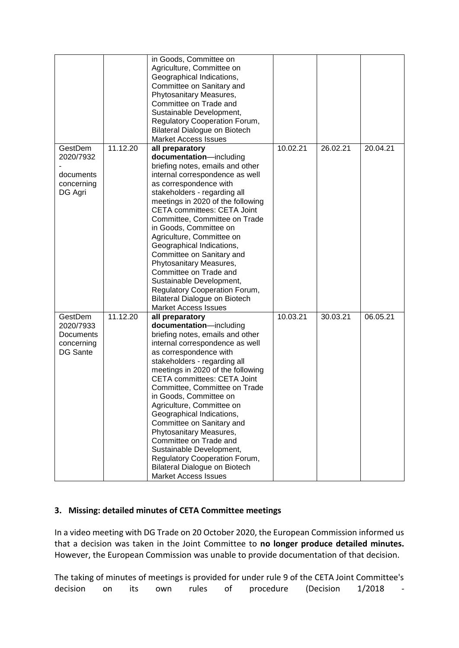|                                                                    |          | in Goods, Committee on<br>Agriculture, Committee on<br>Geographical Indications,<br>Committee on Sanitary and<br>Phytosanitary Measures,<br>Committee on Trade and<br>Sustainable Development,<br>Regulatory Cooperation Forum,                                                                                                                                                                                                                                                                                                                                                            |          |          |          |
|--------------------------------------------------------------------|----------|--------------------------------------------------------------------------------------------------------------------------------------------------------------------------------------------------------------------------------------------------------------------------------------------------------------------------------------------------------------------------------------------------------------------------------------------------------------------------------------------------------------------------------------------------------------------------------------------|----------|----------|----------|
|                                                                    |          | <b>Bilateral Dialogue on Biotech</b><br><b>Market Access Issues</b>                                                                                                                                                                                                                                                                                                                                                                                                                                                                                                                        |          |          |          |
| GestDem<br>2020/7932<br>documents<br>concerning<br>DG Agri         | 11.12.20 | all preparatory<br>documentation-including<br>briefing notes, emails and other<br>internal correspondence as well<br>as correspondence with<br>stakeholders - regarding all<br>meetings in 2020 of the following<br><b>CETA committees: CETA Joint</b><br>Committee, Committee on Trade<br>in Goods, Committee on<br>Agriculture, Committee on<br>Geographical Indications,<br>Committee on Sanitary and<br>Phytosanitary Measures,<br>Committee on Trade and<br>Sustainable Development,<br>Regulatory Cooperation Forum,<br>Bilateral Dialogue on Biotech<br><b>Market Access Issues</b> | 10.02.21 | 26.02.21 | 20.04.21 |
| GestDem<br>2020/7933<br>Documents<br>concerning<br><b>DG Sante</b> | 11.12.20 | all preparatory<br>documentation-including<br>briefing notes, emails and other<br>internal correspondence as well<br>as correspondence with<br>stakeholders - regarding all<br>meetings in 2020 of the following<br>CETA committees: CETA Joint<br>Committee, Committee on Trade<br>in Goods, Committee on<br>Agriculture, Committee on<br>Geographical Indications,<br>Committee on Sanitary and<br>Phytosanitary Measures,<br>Committee on Trade and<br>Sustainable Development,<br>Regulatory Cooperation Forum,<br>Bilateral Dialogue on Biotech<br><b>Market Access Issues</b>        | 10.03.21 | 30.03.21 | 06.05.21 |

### **3. Missing: detailed minutes of CETA Committee meetings**

In a video meeting with DG Trade on 20 October 2020, the European Commission informed us that a decision was taken in the Joint Committee to **no longer produce detailed minutes.**  However, the European Commission was unable to provide documentation of that decision.

The taking of minutes of meetings is provided for under rule 9 of the CETA Joint Committee's decision on its own rules of procedure (Decision 1/2018 -